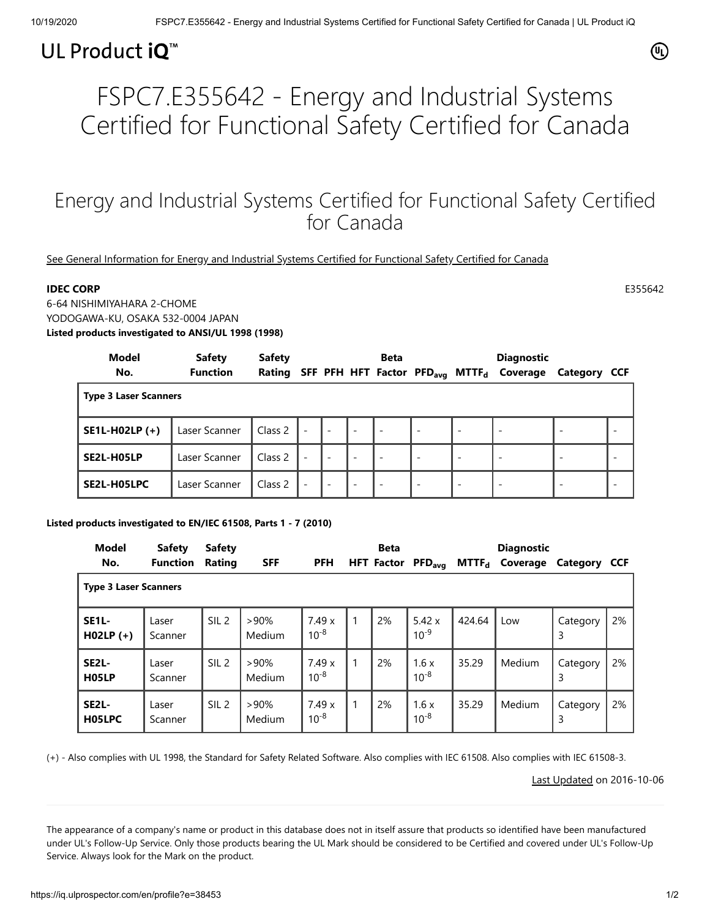## UL Product iQ<sup>™</sup>

# FSPC7.E355642 - Energy and Industrial Systems Certified for Functional Safety Certified for Canada

### Energy and Industrial Systems Certified for Functional Safety Certified for Canada

[See General Information for Energy and Industrial Systems Certified for Functional Safety Certified for Canada](https://iq.ulprospector.com/cgi-bin/XYV/template/LISEXT/1FRAME/showpage.html?&name=FSPC7.GuideInfo&ccnshorttitle=Energy+and+Industrial+Systems+Certified+for+Functional+Safety+Certified+for+Canada&objid=1081477967&cfgid=1073741824&version=versionless&parent_id=1081477966&sequence=1)

### **IDEC CORP** E355642

6-64 NISHIMIYAHARA 2-CHOME YODOGAWA-KU, OSAKA 532-0004 JAPAN **Listed products investigated to ANSI/UL 1998 (1998)**

| Model<br>No.                 | <b>Safety</b><br><b>Function</b> | <b>Safety</b><br>Rating |                          |                          |                          | <b>Beta</b>              |                          |                          | <b>Diagnostic</b><br>SFF PFH HFT Factor PFD <sub>avg</sub> MTTF <sub>d</sub> Coverage | Category CCF |  |
|------------------------------|----------------------------------|-------------------------|--------------------------|--------------------------|--------------------------|--------------------------|--------------------------|--------------------------|---------------------------------------------------------------------------------------|--------------|--|
| <b>Type 3 Laser Scanners</b> |                                  |                         |                          |                          |                          |                          |                          |                          |                                                                                       |              |  |
| <b>SE1L-H02LP (+)</b>        | Laser Scanner                    | Class 2                 | $\overline{\phantom{a}}$ | $\overline{\phantom{a}}$ | $\overline{\phantom{a}}$ |                          | $\overline{\phantom{a}}$ | $\overline{\phantom{a}}$ |                                                                                       |              |  |
| SE2L-H05LP                   | Laser Scanner                    | Class 2                 | $\overline{\phantom{a}}$ | $\overline{\phantom{a}}$ | $\overline{\phantom{a}}$ |                          |                          | -                        |                                                                                       |              |  |
| SE2L-H05LPC                  | Laser Scanner                    | Class 2                 | $\overline{\phantom{a}}$ | $\overline{\phantom{0}}$ | $\overline{\phantom{a}}$ | $\overline{\phantom{a}}$ |                          | -                        |                                                                                       |              |  |

### **Listed products investigated to EN/IEC 61508, Parts 1 - 7 (2010)**

| <b>Model</b><br>No.                | <b>Safety</b><br><b>Function</b> | <b>Safety</b><br>Rating | <b>SFF</b>     | <b>PFH</b>         | <b>Beta</b><br><b>HFT Factor</b> | $\mathsf{PFD}_\mathsf{avg}$ | MTTF <sub>d</sub> | <b>Diagnostic</b><br>Coverage | Category CCF  |    |
|------------------------------------|----------------------------------|-------------------------|----------------|--------------------|----------------------------------|-----------------------------|-------------------|-------------------------------|---------------|----|
| <b>Type 3 Laser Scanners</b>       |                                  |                         |                |                    |                                  |                             |                   |                               |               |    |
| <b>SE1L-</b><br>$H02LP (+)$        | Laser<br>Scanner                 | SIL <sub>2</sub>        | >90%<br>Medium | 7.49x<br>$10^{-8}$ | 2%                               | 5.42x<br>$10^{-9}$          | 424.64            | Low                           | Category<br>3 | 2% |
| SE <sub>2</sub> L-<br><b>H05LP</b> | Laser<br>Scanner                 | SIL <sub>2</sub>        | >90%<br>Medium | 7.49x<br>$10^{-8}$ | 2%                               | 1.6x<br>$10^{-8}$           | 35.29             | Medium                        | Category<br>3 | 2% |
| SE <sub>2</sub> L-<br>H05LPC       | Laser<br>Scanner                 | SIL <sub>2</sub>        | >90%<br>Medium | 7.49x<br>$10^{-8}$ | 2%                               | 1.6x<br>$10^{-8}$           | 35.29             | Medium                        | Category<br>3 | 2% |

(+) - Also complies with UL 1998, the Standard for Safety Related Software. Also complies with IEC 61508. Also complies with IEC 61508-3.

[Last Updated](javascript:openit() on 2016-10-06

The appearance of a company's name or product in this database does not in itself assure that products so identified have been manufactured under UL's Follow-Up Service. Only those products bearing the UL Mark should be considered to be Certified and covered under UL's Follow-Up Service. Always look for the Mark on the product.

⋒